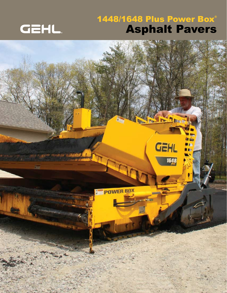

### 1448/1648 Plus Power Box® Asphalt Pavers

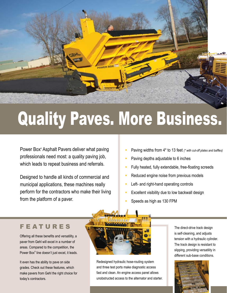

# Quality Paves. More Business.

Power Box® Asphalt Pavers deliver what paving professionals need most: a quality paving job, which leads to repeat business and referrals.

Designed to handle all kinds of commercial and municipal applications, these machines really perform for the contractors who make their living from the platform of a paver.

- Paving widths from 4\* to 13 feet *(\* with cut-off plates and baffles)*
- Paving depths adjustable to 6 inches
- Fully heated, fully extendable, free-floating screeds
- Reduced engine noise from previous models
- Left- and right-hand operating controls
- Excellent visibility due to low backwall design
- Speeds as high as 130 FPM

#### FEATURES

Offering all these benefits and versatility, a paver from Gehl will excel in a number of areas. Compared to the competition, the Power Box® line doesn't just excel, it leads.

It even has the ability to pave on side grades. Check out these features, which make pavers from Gehl the right choice for today's contractors.



Redesigned hydraulic hose-routing system and three test ports make diagnostic access fast and clean. An engine access panel allows unobstructed access to the alternator and starter.

The direct-drive track design is self-cleaning, and adjusts tension with a hydraulic cylinder. The track design is resistant to slipping, providing versatility in different sub-base conditions.

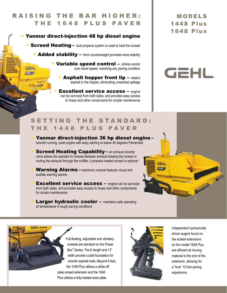#### RAISING THE BAR HIGHER: THE 1648 PLUS PAVER

#### • Yanmar direct-injection 48 hp diesel engine

• Screed Heating – dual propane system is used to heat the screed

- Added stability front counterweight provides more stability
	- Variable speed control infinite control over travel speed, matching any paving condition
		- **Asphalt hopper front lip** retains asphalt in the hopper, eliminating unwanted spillage
		- **Excellent service access engine** can be serviced from both sides, and provides easy access to hoses and other components for simple maintenance

MODELS 1448 Plus 1648 Plus

## **GEHL**

#### SETTING THE STANDARD: THE 1448 PLUS PAVER

- Yanmar direct-injection 36 hp diesel engine smooth running, quiet engine with easy starting to below 40 degrees Fahrenheit
- **Screed Heating Capability an exhaust diverter** valve allows the operator to choose between exhaust heating the screed or routing the exhaust through the muffler, a propane heated screed is optional
- **Warning Alarms** electronic module features visual and audible warning alarms
- **Excellent service access engine can be serviced** from both sides, and provides easy access to hoses and other components for simple maintenance
- **Larger hydraulic cooler maintains safe operating** oil temperature in tough paving conditions



**GEHL** 

1648

Full-floating, adjustable and vibratory screeds are standard on the Power Box® Series. The 8' length and 13" width provide a solid foundation for smooth asphalt mats. Beyond 8 feet, the 1448 Plus utilizes a strike-off plate screed extension and the 1648 Plus utilizes a fully-heated wear plate.



**GEHL**  $\overline{AAB}$ 

> Independent hydraulically driven augers found on the screed extensions on the model 1648 Plus are efficient at moving material to the end of the extension, allowing for a "true" 13 foot paving experience.

POWER BOX